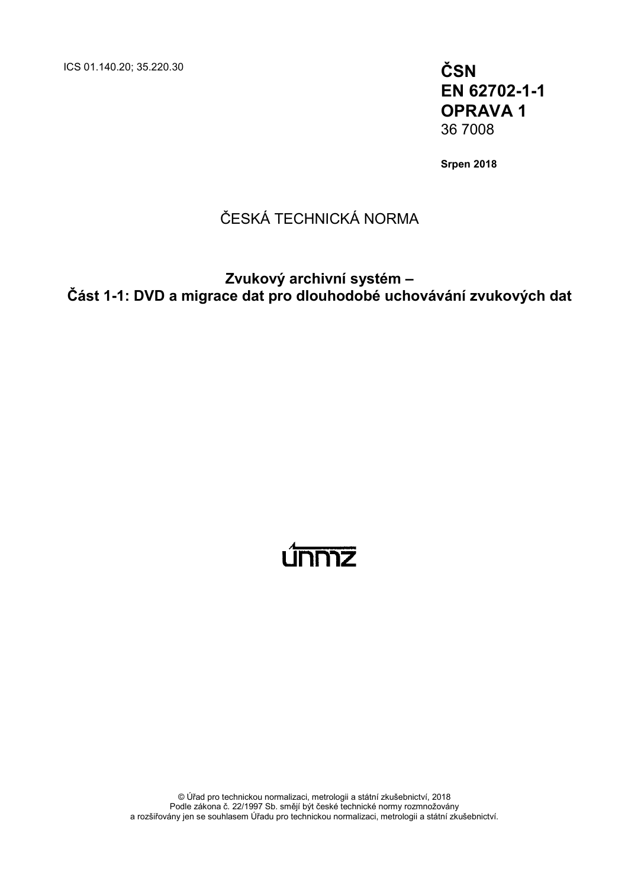ICS 01.140.20; 35.220.30 **ČSN**

**EN 62702-1-1 OPRAVA 1** 36 7008

**Srpen 2018**

### ČESKÁ TECHNICKÁ NORMA

**Zvukový archivní systém – Část 1-1: DVD a migrace dat pro dlouhodobé uchovávání zvukových dat**

# <u>únnnz</u>

© Úřad pro technickou normalizaci, metrologii a státní zkušebnictví, 2018 Podle zákona č. 22/1997 Sb. smějí být české technické normy rozmnožovány a rozšiřovány jen se souhlasem Úřadu pro technickou normalizaci, metrologii a státní zkušebnictví.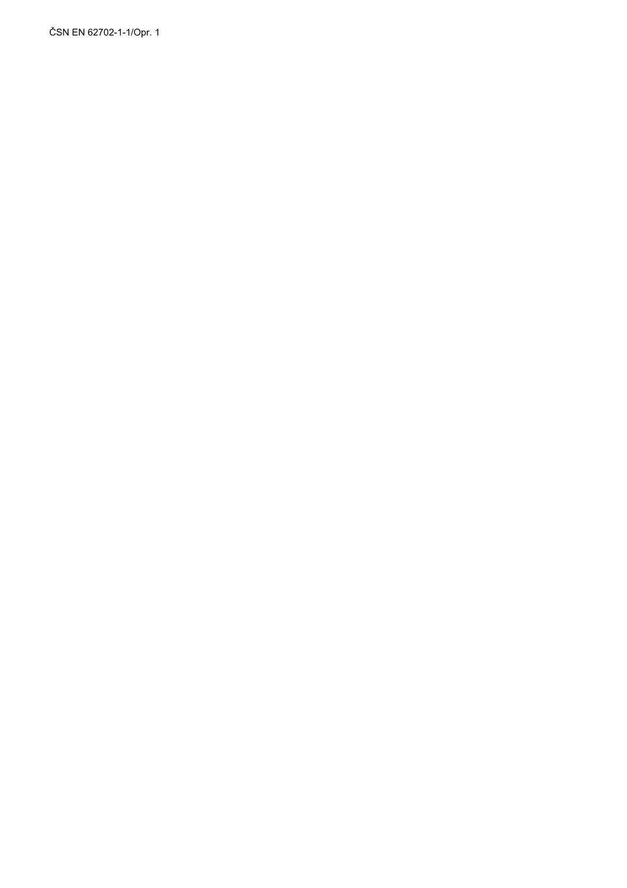ČSN EN 62702-1-1/Opr. 1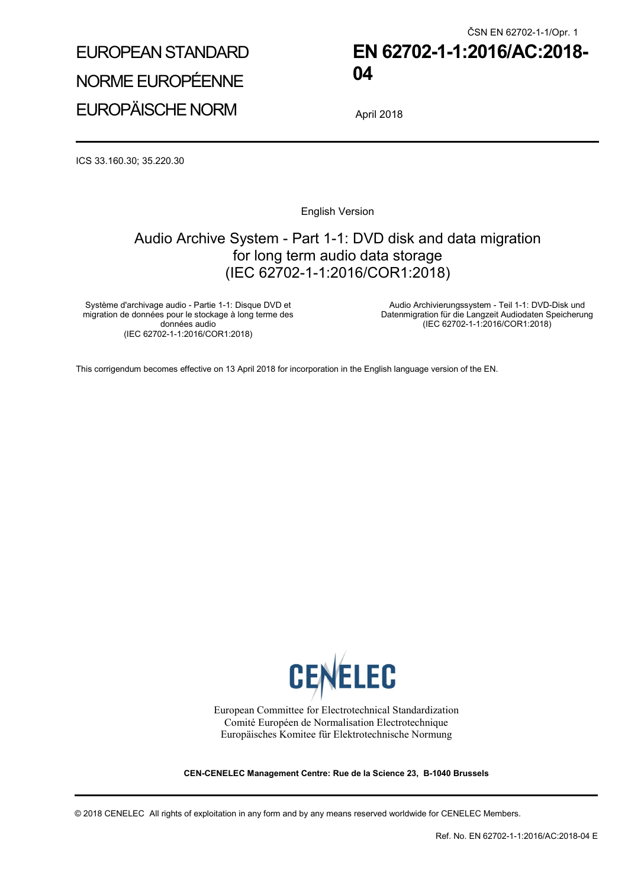# EUROPEAN STANDARD NORME EUROPÉENNE EUROPÄISCHE NORM

## **EN 62702-1-1:2016/AC:2018- 04**

April 2018

ICS 33.160.30; 35.220.30

English Version

### Audio Archive System - Part 1-1: DVD disk and data migration for long term audio data storage (IEC 62702-1-1:2016/COR1:2018)

Système d'archivage audio - Partie 1-1: Disque DVD et migration de données pour le stockage à long terme des données audio (IEC 62702-1-1:2016/COR1:2018)

 Audio Archivierungssystem - Teil 1-1: DVD-Disk und Datenmigration für die Langzeit Audiodaten Speicherung (IEC 62702-1-1:2016/COR1:2018)

This corrigendum becomes effective on 13 April 2018 for incorporation in the English language version of the EN.



European Committee for Electrotechnical Standardization Comité Européen de Normalisation Electrotechnique Europäisches Komitee für Elektrotechnische Normung

**CEN-CENELEC Management Centre: Rue de la Science 23, B-1040 Brussels** 

© 2018 CENELEC All rights of exploitation in any form and by any means reserved worldwide for CENELEC Members.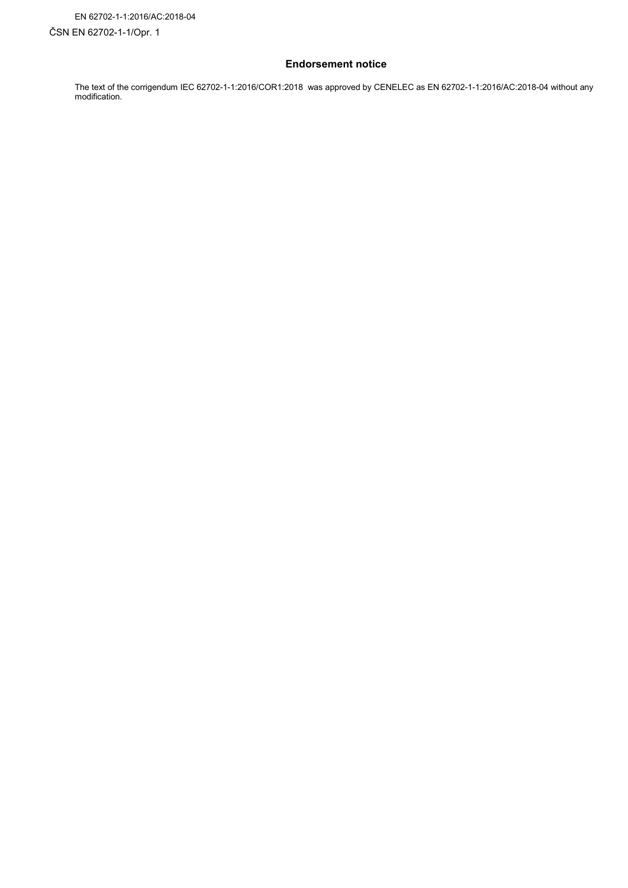EN 62702-1-1:2016/AC:2018-04

ČSN EN 62702-1-1/Opr. 1

#### **Endorsement notice**

The text of the corrigendum IEC 62702-1-1:2016/COR1:2018 was approved by CENELEC as EN 62702-1-1:2016/AC:2018-04 without any modification.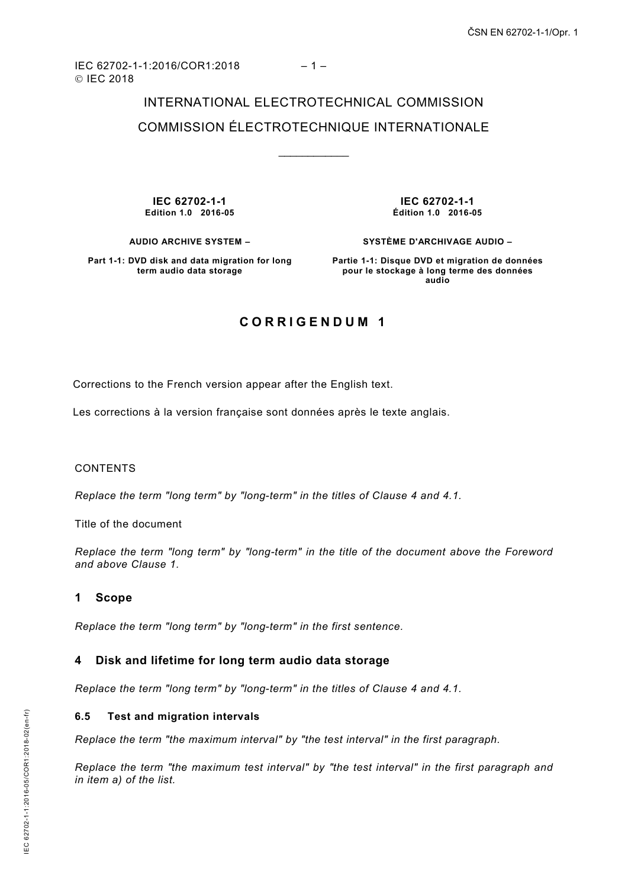IEC 62702-1-1:2016/COR1:2018  $-1 -$ © IFC 2018

## INTERNATIONAL ELECTROTECHNICAL COMMISSION COMMISSION ÉLECTROTECHNIQUE INTERNATIONALE

\_\_\_\_\_\_\_\_\_\_\_\_

**IEC 62702-1-1 Edition 1.0 2016-05**

**IEC 62702-1-1 Édition 1.0 2016-05**

**AUDIO ARCHIVE SYSTEM –** 

**SYSTÈME D'ARCHIVAGE AUDIO –** 

**Part 1-1: DVD disk and data migration for long term audio data storage**

**Partie 1-1: Disque DVD et migration de données pour le stockage à long terme des données audio**

### **CORRIGENDUM 1**

Corrections to the French version appear after the English text.

Les corrections à la version française sont données après le texte anglais.

#### CONTENTS

*Replace the term "long term" by "long-term" in the titles of Clause 4 and 4.1.*

Title of the document

*Replace the term "long term" by "long-term" in the title of the document above the Foreword and above Clause 1.*

### **1 Scope**

*Replace the term "long term" by "long-term" in the first sentence.* 

### **4 Disk and lifetime for long term audio data storage**

*Replace the term "long term" by "long-term" in the titles of Clause 4 and 4.1.*

#### **6.5 Test and migration intervals**

*Replace the term "the maximum interval" by "the test interval" in the first paragraph.*

*Replace the term "the maximum test interval" by "the test interval" in the first paragraph and in item a) of the list.*